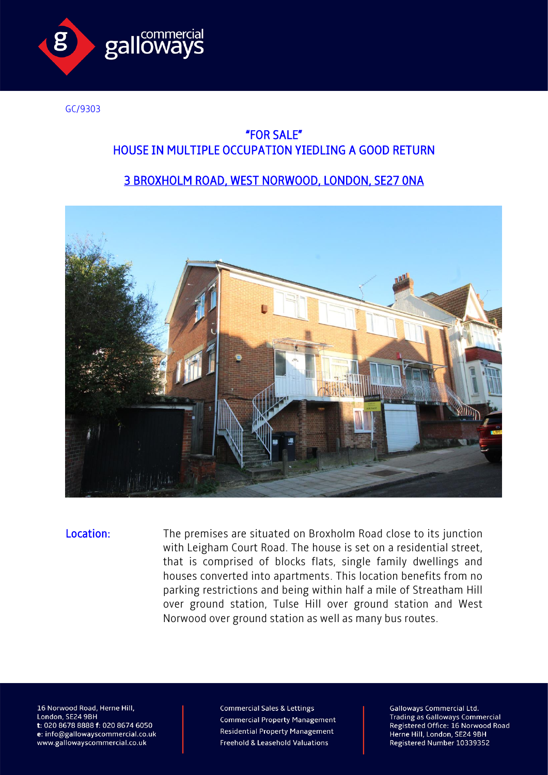

GC/9303

## "FOR SALE" HOUSE IN MULTIPLE OCCUPATION YIEDLING A GOOD RETURN

## 3 BROXHOLM ROAD, WEST NORWOOD, LONDON, SE27 0NA



Location: The premises are situated on Broxholm Road close to its junction with Leigham Court Road. The house is set on a residential street, that is comprised of blocks flats, single family dwellings and houses converted into apartments. This location benefits from no parking restrictions and being within half a mile of Streatham Hill over ground station, Tulse Hill over ground station and West Norwood over ground station as well as many bus routes.

16 Norwood Road, Herne Hill, London, SE24 9BH t: 020 8678 8888 f: 020 8674 6050 e: info@gallowayscommercial.co.uk www.gallowayscommercial.co.uk

**Commercial Sales & Lettings Commercial Property Management Residential Property Management** Freehold & Leasehold Valuations

**Galloways Commercial Ltd. Trading as Galloways Commercial** Registered Office: 16 Norwood Road Herne Hill, London, SE24 9BH Registered Number 10339352